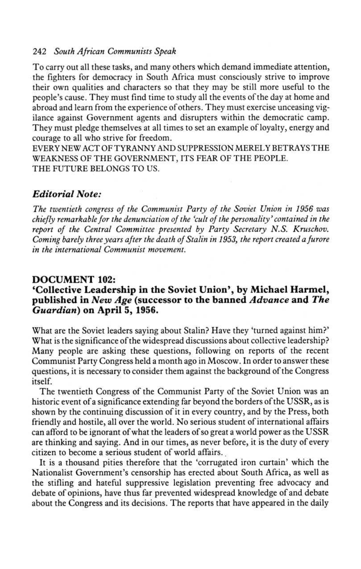## 242 South African Communists Speak

To carry out all these tasks, and many others which demand immediate attention, the fighters for democracy in South Africa must consciously strive to improve their own qualities and characters so that they may be still more useful to the people's cause . They must find time to study all the events of the day at home and abroad and learn from the experience of others. They must exercise unceasing vigilance against Government agents and disrupters within the democratic camp. They must pledge themselves at all times to set an example of loyalty, energy and courage to all who strive for freedom .

EVERY NEW ACT OF TYRANNY AND SUPPRESSION MERELY BETRAYS THE WEAKNESS OF THE GOVERNMENT, ITS FEAR OF THE PEOPLE. THE FUTURE BELONGS TO US.

# Editorial Note:

The twentieth congress of the Communist Party of the Soviet Union in 1956 was chiefly remarkable for the denunciation of the `cult of the personality' contained in the report of the Central Committee presented by Party Secretary N.S. Kruschov. Coming barely three years after the death of Stalin in 1953, the report created a furore in the international Communist movement.

## DOCUMENT 102:

# `Collective Leadership in the Soviet Union', by Michael Harmel, published in New Age (successor to the banned Advance and The Guardian) on April 5, 1956 .

What are the Soviet leaders saying about Stalin? Have they 'turned against him?' What is the significance of the widespread discussions about collective leadership? Many people are asking these questions, following on reports of the recent Communist Party Congress held a month ago in Moscow . In order to answer these questions, it is necessary to consider them against the background of the Congress itself.

The twentieth Congress of the Communist Party of the Soviet Union was an historic event of a significance extending far beyond the borders of the USSR, as is shown by the continuing discussion of it in every country, and by the Press, both friendly and hostile, all over the world . No serious student of international affairs can afford to be ignorant of what the leaders of so great a world power as the USSR are thinking and saying. And in our times, as never before, it is the duty of every citizen to become a serious student of world affairs .

It is a thousand pities therefore that the `corrugated iron curtain' which the Nationalist Government's censorship has erected about South Africa, as well as the stifling and hateful suppressive legislation preventing free advocacy and debate of opinions, have thus far prevented widespread knowledge of and debate about the Congress and its decisions . The reports that have appeared in the daily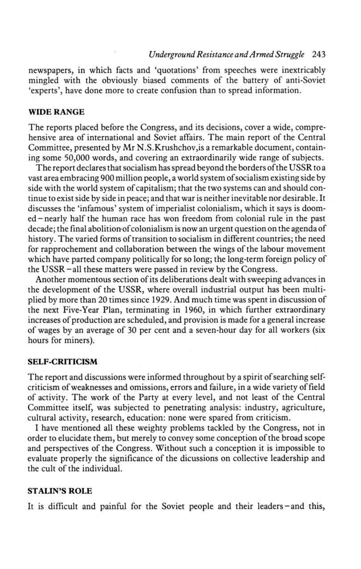## Underground Resistance and Armed Struggle 243

newspapers, in which facts and `quotations' from speeches were inextricably mingled with the obviously biased comments of the battery of anti-Soviet `experts', have done more to create confusion than to spread information .

### WIDE RANGE

The reports placed before the Congress, and its decisions, cover a wide, comprehensive area of international and Soviet affairs. The main report of the Central Committee, presented by Mr N.S.Krushchov, is a remarkable document, containing some 50,000 words, and covering an extraordinarily wide range of subjects .

The report declares that socialism has spread beyond the borders ofthe USSR to a vast area embracing 900 million people, a world system of socialism existing side by side with the world system of capitalism; that the two systems can and should continue to exist side by side in peace ; and that war is neither inevitable nor desirable . It discusses the `infamous' system of imperialist colonialism, which it says is doomed-nearly half the human race has won freedom from colonial rule in the past decade; the final abolition-of colonialism is now an urgent question on the agenda of history. The varied forms of transition to socialism in different countries; the need for rapprochement and collaboration between the wings of the labour movement which have parted company politically for so long; the long-term foreign policy of the USSR -all these matters were passed in review by the Congress.

Another momentous section of its deliberations dealt with sweeping advances in the development of the USSR, where overall industrial output has been multiplied by more than 20 times since 1929 . And much time was spent in discussion of the next Five-Year Plan, terminating in 1960, in which further extraordinary increases of production are scheduled, and provision is made for a general increase of wages by an average of 30 per cent and a seven-hour day for all workers (six hours for miners).

### SELF-CRITICISM

The report and discussions were informed throughout by a spirit of searching selfcriticism of weaknesses and omissions, errors and failure, in a wide variety of field of activity. The work of the Party at every level, and not least of the Central Committee itself, was subjected to penetrating analysis: industry, agriculture, cultural activity, research, education: none were spared from criticism.

I have mentioned all these weighty problems tackled by the Congress, not in order to elucidate them, but merely to convey some conception of the broad scope and perspectives of the Congress. Without such a conception it is impossible to evaluate properly the significance of the dicussions on collective leadership and the cult of the individual.

### STALIN'S ROLE

It is difficult and painful for the Soviet people and their leaders-and this,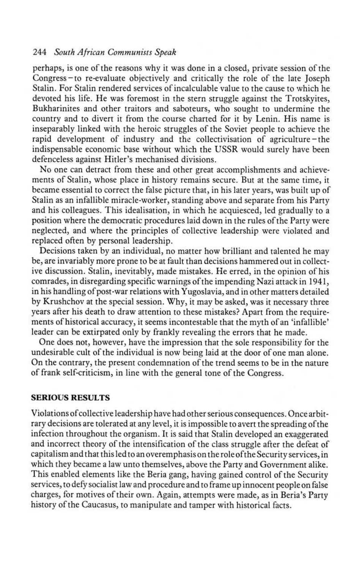## 244 South African Communists Speak

perhaps, is one of the reasons why it was done in a closed, private session of the Congress-to re-evaluate objectively and critically the role of the late Joseph Stalin . For Stalin rendered services of incalculable value to the cause to which he devoted his life. He was foremost in the stern struggle against the Trotskyites, Bukharinites and other traitors and saboteurs, who sought to undermine the country and to divert it from the course charted for it by Lenin. His name is inseparably linked with the heroic struggles of the Soviet people to achieve the rapid development of industry and the collectivisation of agriculture-the indispensable economic base without which the USSR would surely have been defenceless against Hitler's mechanised divisions .

No one can detract from these and other great accomplishments and achievements of Stalin, whose place in history remains secure . But at the same time, it became essential to correct the false picture that, in his later years, was built up of Stalin as an infallible miracle-worker, standing above and separate from his Party and his colleagues. This idealisation, in which he acquiesced, led gradually to a position where the democratic procedures laid down in the rules of the Party were neglected, and where the principles of collective leadership were violated and replaced often by personal leadership.

Decisions taken by an individual, no matter how brilliant and talented he may be, are invariably more prone to be at fault than decisions hammered out in collective discussion. Stalin, inevitably, made mistakes. He erred, in the opinion of his comrades, in disregarding specific warnings of the impending Nazi attack in 1941, in his handling of post-war relations with Yugoslavia, and in other matters detailed by Krushchov at the special session. Why, it may be asked, was it necessary three years after his death to draw attention to these mistakes? Apart from the requirements of historical accuracy, it seems incontestable that the myth of an `infallible' leader can be extirpated only by frankly revealing the errors that he made.

One does not, however, have the impression that the sole responsibility for the undesirable cult of the individual is now being laid at the door of one man alone. On the contrary, the present condemnation of the trend seems to be in the nature of frank self-criticism, in line with the general tone of the Congress .

#### SERIOUS RESULTS

Violations of collective leadership have had other serious consequences . Once arbitrary decisions are tolerated at any level, it is impossible to avert the spreading of the infection throughout the organism . It is said that Stalin developed an exaggerated and incorrect theory of the intensification of the class struggle after the defeat of capitalism and that this led to an overemphasis on the role ofthe Security services, in which they became a law unto themselves, above the Party and Government alike . This enabled elements like the Beria gang, having gained control of the Security services, to defy socialist law and procedure and to frame up innocent people on false charges, for motives of their own . Again, attempts were made, as in Beria's Party history of the Caucasus, to manipulate and tamper with historical facts .